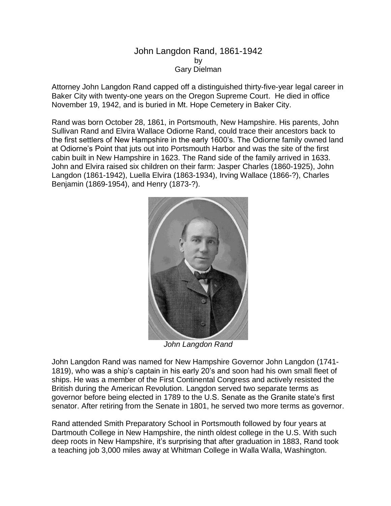## John Langdon Rand, 1861-1942 by Gary Dielman

Attorney John Langdon Rand capped off a distinguished thirty-five-year legal career in Baker City with twenty-one years on the Oregon Supreme Court. He died in office November 19, 1942, and is buried in Mt. Hope Cemetery in Baker City.

Rand was born October 28, 1861, in Portsmouth, New Hampshire. His parents, John Sullivan Rand and Elvira Wallace Odiorne Rand, could trace their ancestors back to the first settlers of New Hampshire in the early 1600's. The Odiorne family owned land at Odiorne's Point that juts out into Portsmouth Harbor and was the site of the first cabin built in New Hampshire in 1623. The Rand side of the family arrived in 1633. John and Elvira raised six children on their farm: Jasper Charles (1860-1925), John Langdon (1861-1942), Luella Elvira (1863-1934), Irving Wallace (1866-?), Charles Benjamin (1869-1954), and Henry (1873-?).



*John Langdon Rand*

John Langdon Rand was named for New Hampshire Governor John Langdon (1741- 1819), who was a ship's captain in his early 20's and soon had his own small fleet of ships. He was a member of the First Continental Congress and actively resisted the British during the American Revolution. Langdon served two separate terms as governor before being elected in 1789 to the U.S. Senate as the Granite state's first senator. After retiring from the Senate in 1801, he served two more terms as governor.

Rand attended Smith Preparatory School in Portsmouth followed by four years at Dartmouth College in New Hampshire, the ninth oldest college in the U.S. With such deep roots in New Hampshire, it's surprising that after graduation in 1883, Rand took a teaching job 3,000 miles away at Whitman College in Walla Walla, Washington.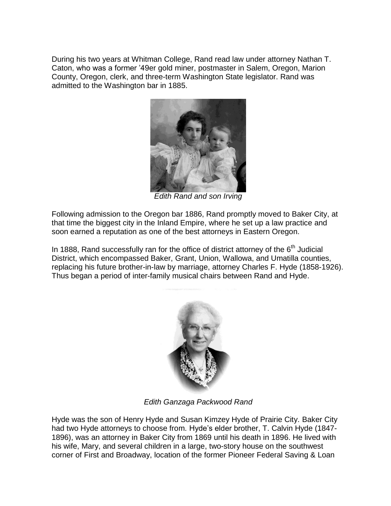During his two years at Whitman College, Rand read law under attorney Nathan T. Caton, who was a former '49er gold miner, postmaster in Salem, Oregon, Marion County, Oregon, clerk, and three-term Washington State legislator. Rand was admitted to the Washington bar in 1885.



*Edith Rand and son Irving*

Following admission to the Oregon bar 1886, Rand promptly moved to Baker City, at that time the biggest city in the Inland Empire, where he set up a law practice and soon earned a reputation as one of the best attorneys in Eastern Oregon.

In 1888, Rand successfully ran for the office of district attorney of the  $6<sup>th</sup>$  Judicial District, which encompassed Baker, Grant, Union, Wallowa, and Umatilla counties, replacing his future brother-in-law by marriage, attorney Charles F. Hyde (1858-1926). Thus began a period of inter-family musical chairs between Rand and Hyde.



*Edith Ganzaga Packwood Rand*

Hyde was the son of Henry Hyde and Susan Kimzey Hyde of Prairie City. Baker City had two Hyde attorneys to choose from. Hyde's elder brother, T. Calvin Hyde (1847- 1896), was an attorney in Baker City from 1869 until his death in 1896. He lived with his wife, Mary, and several children in a large, two-story house on the southwest corner of First and Broadway, location of the former Pioneer Federal Saving & Loan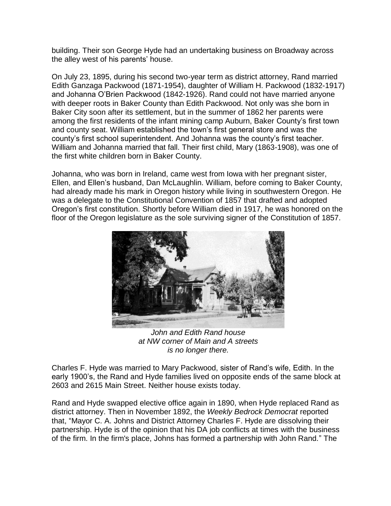building. Their son George Hyde had an undertaking business on Broadway across the alley west of his parents' house.

On July 23, 1895, during his second two-year term as district attorney, Rand married Edith Ganzaga Packwood (1871-1954), daughter of William H. Packwood (1832-1917) and Johanna O'Brien Packwood (1842-1926). Rand could not have married anyone with deeper roots in Baker County than Edith Packwood. Not only was she born in Baker City soon after its settlement, but in the summer of 1862 her parents were among the first residents of the infant mining camp Auburn, Baker County's first town and county seat. William established the town's first general store and was the county's first school superintendent. And Johanna was the county's first teacher. William and Johanna married that fall. Their first child, Mary (1863-1908), was one of the first white children born in Baker County.

Johanna, who was born in Ireland, came west from Iowa with her pregnant sister, Ellen, and Ellen's husband, Dan McLaughlin. William, before coming to Baker County, had already made his mark in Oregon history while living in southwestern Oregon. He was a delegate to the Constitutional Convention of 1857 that drafted and adopted Oregon's first constitution. Shortly before William died in 1917, he was honored on the floor of the Oregon legislature as the sole surviving signer of the Constitution of 1857.



*John and Edith Rand house at NW corner of Main and A streets is no longer there.*

Charles F. Hyde was married to Mary Packwood, sister of Rand's wife, Edith. In the early 1900's, the Rand and Hyde families lived on opposite ends of the same block at 2603 and 2615 Main Street. Neither house exists today.

Rand and Hyde swapped elective office again in 1890, when Hyde replaced Rand as district attorney. Then in November 1892, the *Weekly Bedrock Democrat* reported that, "Mayor C. A. Johns and District Attorney Charles F. Hyde are dissolving their partnership. Hyde is of the opinion that his DA job conflicts at times with the business of the firm. In the firm's place, Johns has formed a partnership with John Rand." The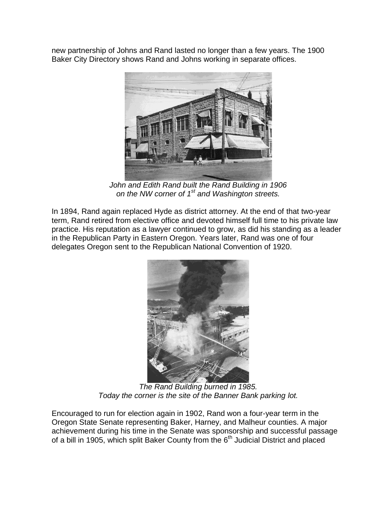new partnership of Johns and Rand lasted no longer than a few years. The 1900 Baker City Directory shows Rand and Johns working in separate offices.



*John and Edith Rand built the Rand Building in 1906 on the NW corner of 1st and Washington streets.*

In 1894, Rand again replaced Hyde as district attorney. At the end of that two-year term, Rand retired from elective office and devoted himself full time to his private law practice. His reputation as a lawyer continued to grow, as did his standing as a leader in the Republican Party in Eastern Oregon. Years later, Rand was one of four delegates Oregon sent to the Republican National Convention of 1920.



*The Rand Building burned in 1985. Today the corner is the site of the Banner Bank parking lot.*

Encouraged to run for election again in 1902, Rand won a four-year term in the Oregon State Senate representing Baker, Harney, and Malheur counties. A major achievement during his time in the Senate was sponsorship and successful passage of a bill in 1905, which split Baker County from the 6th Judicial District and placed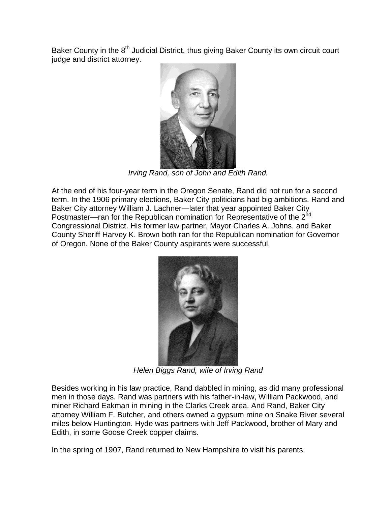Baker County in the 8<sup>th</sup> Judicial District, thus giving Baker County its own circuit court judge and district attorney.



*Irving Rand, son of John and Edith Rand.*

At the end of his four-year term in the Oregon Senate, Rand did not run for a second term. In the 1906 primary elections, Baker City politicians had big ambitions. Rand and Baker City attorney William J. Lachner—later that year appointed Baker City Postmaster—ran for the Republican nomination for Representative of the  $2^{nd}$ Congressional District. His former law partner, Mayor Charles A. Johns, and Baker County Sheriff Harvey K. Brown both ran for the Republican nomination for Governor of Oregon. None of the Baker County aspirants were successful.



*Helen Biggs Rand, wife of Irving Rand*

Besides working in his law practice, Rand dabbled in mining, as did many professional men in those days. Rand was partners with his father-in-law, William Packwood, and miner Richard Eakman in mining in the Clarks Creek area. And Rand, Baker City attorney William F. Butcher, and others owned a gypsum mine on Snake River several miles below Huntington. Hyde was partners with Jeff Packwood, brother of Mary and Edith, in some Goose Creek copper claims.

In the spring of 1907, Rand returned to New Hampshire to visit his parents.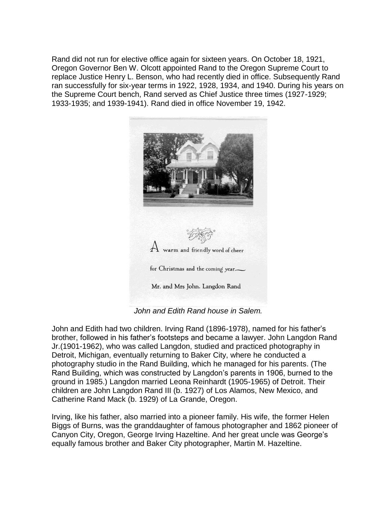Rand did not run for elective office again for sixteen years. On October 18, 1921, Oregon Governor Ben W. Olcott appointed Rand to the Oregon Supreme Court to replace Justice Henry L. Benson, who had recently died in office. Subsequently Rand ran successfully for six-year terms in 1922, 1928, 1934, and 1940. During his years on the Supreme Court bench, Rand served as Chief Justice three times (1927-1929; 1933-1935; and 1939-1941). Rand died in office November 19, 1942.



*John and Edith Rand house in Salem.*

John and Edith had two children. Irving Rand (1896-1978), named for his father's brother, followed in his father's footsteps and became a lawyer. John Langdon Rand Jr.(1901-1962), who was called Langdon, studied and practiced photography in Detroit, Michigan, eventually returning to Baker City, where he conducted a photography studio in the Rand Building, which he managed for his parents. (The Rand Building, which was constructed by Langdon's parents in 1906, burned to the ground in 1985.) Langdon married Leona Reinhardt (1905-1965) of Detroit. Their children are John Langdon Rand III (b. 1927) of Los Alamos, New Mexico, and Catherine Rand Mack (b. 1929) of La Grande, Oregon.

Irving, like his father, also married into a pioneer family. His wife, the former Helen Biggs of Burns, was the granddaughter of famous photographer and 1862 pioneer of Canyon City, Oregon, George Irving Hazeltine. And her great uncle was George's equally famous brother and Baker City photographer, Martin M. Hazeltine.